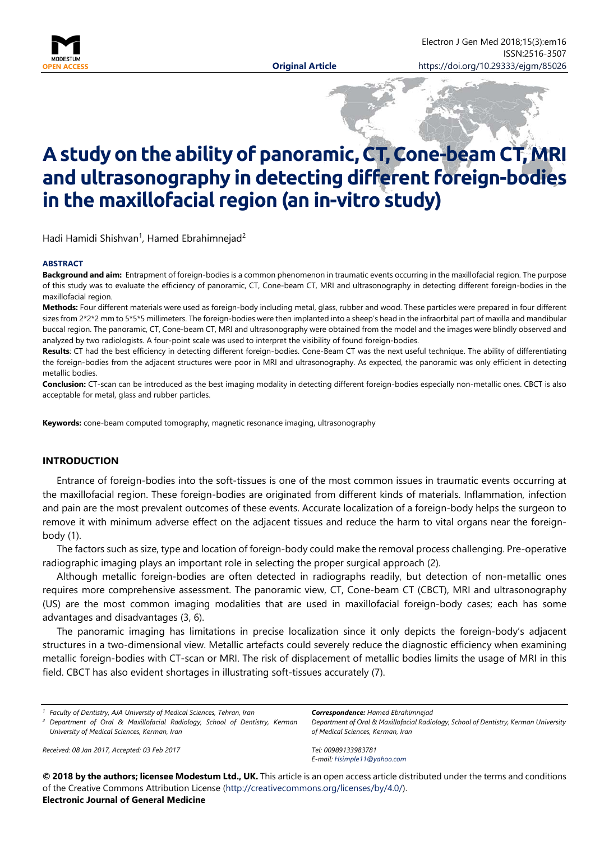

# **A study on the ability of panoramic, CT, Cone-beam CT, MRI and ultrasonography in detecting different foreign-bodies in the maxillofacial region (an in-vitro study)**

Hadi Hamidi Shishvan<sup>1</sup>, Hamed Ebrahimnejad<sup>2</sup>

#### **ABSTRACT**

**Background and aim:** Entrapment of foreign-bodies is a common phenomenon in traumatic events occurring in the maxillofacial region. The purpose of this study was to evaluate the efficiency of panoramic, CT, Cone-beam CT, MRI and ultrasonography in detecting different foreign-bodies in the maxillofacial region.

**Methods:** Four different materials were used as foreign-body including metal, glass, rubber and wood. These particles were prepared in four different sizes from 2\*2\*2 mm to 5\*5\*5 millimeters. The foreign-bodies were then implanted into a sheep's head in the infraorbital part of maxilla and mandibular buccal region. The panoramic, CT, Cone-beam CT, MRI and ultrasonography were obtained from the model and the images were blindly observed and analyzed by two radiologists. A four-point scale was used to interpret the visibility of found foreign-bodies.

**Results**: CT had the best efficiency in detecting different foreign-bodies. Cone-Beam CT was the next useful technique. The ability of differentiating the foreign-bodies from the adjacent structures were poor in MRI and ultrasonography. As expected, the panoramic was only efficient in detecting metallic bodies.

**Conclusion:** CT-scan can be introduced as the best imaging modality in detecting different foreign-bodies especially non-metallic ones. CBCT is also acceptable for metal, glass and rubber particles.

**Keywords:** cone-beam computed tomography, magnetic resonance imaging, ultrasonography

#### **INTRODUCTION**

Entrance of foreign-bodies into the soft-tissues is one of the most common issues in traumatic events occurring at the maxillofacial region. These foreign-bodies are originated from different kinds of materials. Inflammation, infection and pain are the most prevalent outcomes of these events. Accurate localization of a foreign-body helps the surgeon to remove it with minimum adverse effect on the adjacent tissues and reduce the harm to vital organs near the foreignbody (1).

The factors such as size, type and location of foreign-body could make the removal process challenging. Pre-operative radiographic imaging plays an important role in selecting the proper surgical approach (2).

Although metallic foreign-bodies are often detected in radiographs readily, but detection of non-metallic ones requires more comprehensive assessment. The panoramic view, CT, Cone-beam CT (CBCT), MRI and ultrasonography (US) are the most common imaging modalities that are used in maxillofacial foreign-body cases; each has some advantages and disadvantages (3, 6).

The panoramic imaging has limitations in precise localization since it only depicts the foreign-body's adjacent structures in a two-dimensional view. Metallic artefacts could severely reduce the diagnostic efficiency when examining metallic foreign-bodies with CT-scan or MRI. The risk of displacement of metallic bodies limits the usage of MRI in this field. CBCT has also evident shortages in illustrating soft-tissues accurately (7).

*<sup>1</sup> Faculty of Dentistry, AJA University of Medical Sciences, Tehran, Iran <sup>2</sup> Department of Oral & Maxillofacial Radiology, School of Dentistry, Kerman University of Medical Sciences, Kerman, Iran*

*Received: 08 Jan 2017, Accepted: 03 Feb 2017*

*Correspondence: Hamed Ebrahimnejad Department of Oral & Maxillofacial Radiology, School of Dentistry, Kerman University of Medical Sciences, Kerman, Iran*

*Tel: 00989133983781 E-mail: [Hsimple11@yahoo.com](mailto:Hsimple11@yahoo.com)*

**© 2018 by the authors; licensee Modestum Ltd., UK.** This article is an open access article distributed under the terms and conditions of the Creative Commons Attribution License [\(http://creativecommons.org/licenses/by/4.0/\)](http://creativecommons.org/licenses/by/4.0/).

#### **Electronic Journal of General Medicine**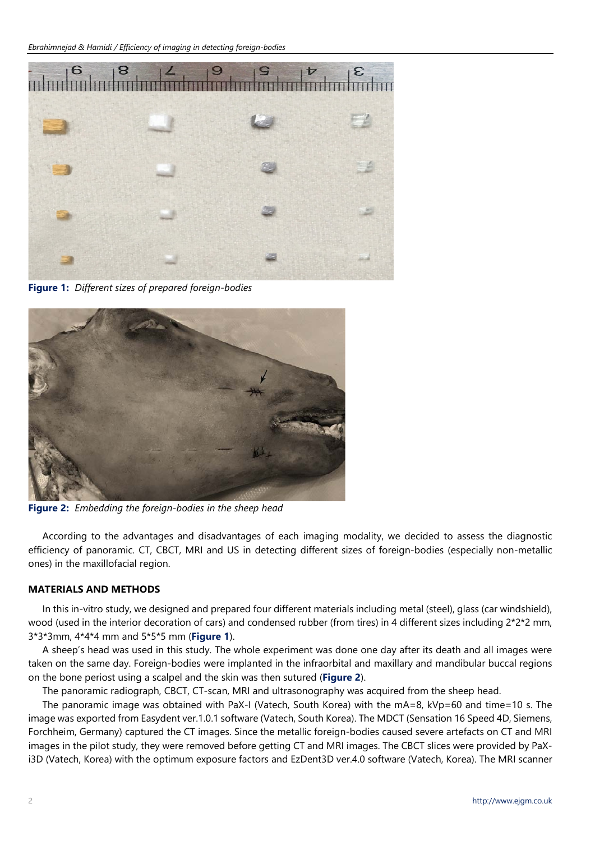

**Figure 1:** *Different sizes of prepared foreign-bodies*



**Figure 2:** *Embedding the foreign-bodies in the sheep head*

According to the advantages and disadvantages of each imaging modality, we decided to assess the diagnostic efficiency of panoramic. CT, CBCT, MRI and US in detecting different sizes of foreign-bodies (especially non-metallic ones) in the maxillofacial region.

# **MATERIALS AND METHODS**

In this in-vitro study, we designed and prepared four different materials including metal (steel), glass (car windshield), wood (used in the interior decoration of cars) and condensed rubber (from tires) in 4 different sizes including  $2*2*2$  mm, 3\*3\*3mm, 4\*4\*4 mm and 5\*5\*5 mm (**Figure 1**).

A sheep's head was used in this study. The whole experiment was done one day after its death and all images were taken on the same day. Foreign-bodies were implanted in the infraorbital and maxillary and mandibular buccal regions on the bone periost using a scalpel and the skin was then sutured (**Figure 2**).

The panoramic radiograph, CBCT, CT-scan, MRI and ultrasonography was acquired from the sheep head.

The panoramic image was obtained with PaX-I (Vatech, South Korea) with the mA=8, kVp=60 and time=10 s. The image was exported from Easydent ver.1.0.1 software (Vatech, South Korea). The MDCT (Sensation 16 Speed 4D, Siemens, Forchheim, Germany) captured the CT images. Since the metallic foreign-bodies caused severe artefacts on CT and MRI images in the pilot study, they were removed before getting CT and MRI images. The CBCT slices were provided by PaXi3D (Vatech, Korea) with the optimum exposure factors and EzDent3D ver.4.0 software (Vatech, Korea). The MRI scanner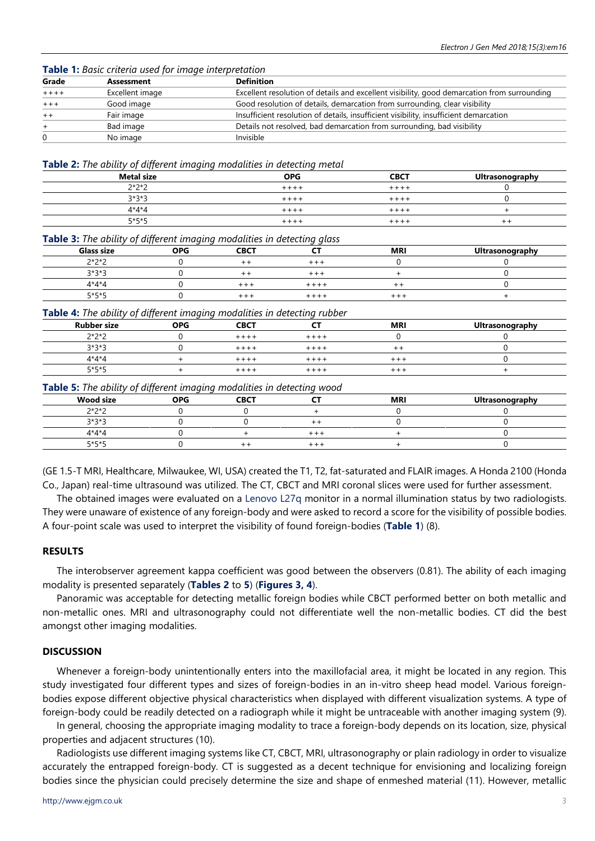**Table 1:** *Basic criteria used for image interpretation*

| Grade  | Assessment      | <b>Definition</b>                                                                           |
|--------|-----------------|---------------------------------------------------------------------------------------------|
| $++++$ | Excellent image | Excellent resolution of details and excellent visibility, good demarcation from surrounding |
| $***$  | Good image      | Good resolution of details, demarcation from surrounding, clear visibility                  |
| $+ +$  | Fair image      | Insufficient resolution of details, insufficient visibility, insufficient demarcation       |
| $+$    | Bad image       | Details not resolved, bad demarcation from surrounding, bad visibility                      |
|        | No image        | Invisible                                                                                   |

**Table 2:** *The ability of different imaging modalities in detecting metal*

| <b>Metal size</b> | <b>OPG</b> | <b>CBCT</b> | Ultrasonography |
|-------------------|------------|-------------|-----------------|
| $2*2*2$           | $***$      | $++++$      |                 |
| $3*3*3$           | $+ + + +$  | $+ + + +$   |                 |
| $4*4*4$           | ++++       | $++++$      |                 |
| $5*5*5$           | . + + +    | $++++$      | ++              |

**Table 3:** *The ability of different imaging modalities in detecting glass*

| Glass size | <b>OPG</b> | <b>CBCT</b> | --        | <b>MRI</b> | Ultrasonography |
|------------|------------|-------------|-----------|------------|-----------------|
| $2*2*2$    |            |             | $+ + +$   |            |                 |
| $3*3*3$    |            |             | $+ + +$   |            |                 |
| $4*4*4$    |            | $+ + -$     | $+ + + +$ | ÷          |                 |
| $5*5*5$    |            | +++         | $+ + + +$ | $++++$     |                 |

**Table 4:** *The ability of different imaging modalities in detecting rubber*

| <b>Rubber size</b> | <b>OPG</b> | <b>CBCT</b> | --        | <b>MR</b> | <b>Ultrasonography</b> |
|--------------------|------------|-------------|-----------|-----------|------------------------|
| $2*2*2$            |            | $+ + + +$   | $+ + + +$ |           |                        |
| $3*3*3$            |            | $++++$      | $++++$    | ÷ +       |                        |
| $4*4*4$            |            | $+ + + +$   | $+ + + +$ | $++ +$    |                        |
| $5*5*5$            |            | $+ + + -$   | $++++$    | $+ + +$   |                        |

#### **Table 5:** *The ability of different imaging modalities in detecting wood*

|                  | .<br>. .   |             |             |            |                 |
|------------------|------------|-------------|-------------|------------|-----------------|
| <b>Wood size</b> | <b>OPG</b> | <b>CBCT</b> | --          | <b>MRI</b> | Ultrasonography |
| $2*2*2$          |            |             |             |            |                 |
| $3*3*5$          |            |             |             |            |                 |
| $4*4*4$          |            |             | ᆂᆂ          |            |                 |
| 5*5*5            |            |             | $\pm$ $\pm$ |            |                 |

(GE 1.5-T MRI, Healthcare, Milwaukee, WI, USA) created the T1, T2, fat-saturated and FLAIR images. A Honda 2100 (Honda Co., Japan) real-time ultrasound was utilized. The CT, CBCT and MRI coronal slices were used for further assessment.

The obtained images were evaluated on a [Lenovo L27q](https://www3.lenovo.com/us/en/accessories-and-monitors/monitors/home/L27q-20-27-QHD-MonitorHDMI%2BDP/p/65D4GCC1US) monitor in a normal illumination status by two radiologists. They were unaware of existence of any foreign-body and were asked to record a score for the visibility of possible bodies. A four-point scale was used to interpret the visibility of found foreign-bodies (**Table 1**) (8).

#### **RESULTS**

The interobserver agreement kappa coefficient was good between the observers (0.81). The ability of each imaging modality is presented separately (**Tables 2** to **5**) (**Figures 3, 4**).

Panoramic was acceptable for detecting metallic foreign bodies while CBCT performed better on both metallic and non-metallic ones. MRI and ultrasonography could not differentiate well the non-metallic bodies. CT did the best amongst other imaging modalities.

### **DISCUSSION**

Whenever a foreign-body unintentionally enters into the maxillofacial area, it might be located in any region. This study investigated four different types and sizes of foreign-bodies in an in-vitro sheep head model. Various foreignbodies expose different objective physical characteristics when displayed with different visualization systems. A type of foreign-body could be readily detected on a radiograph while it might be untraceable with another imaging system (9).

In general, choosing the appropriate imaging modality to trace a foreign-body depends on its location, size, physical properties and adjacent structures (10).

Radiologists use different imaging systems like CT, CBCT, MRI, ultrasonography or plain radiology in order to visualize accurately the entrapped foreign-body. CT is suggested as a decent technique for envisioning and localizing foreign bodies since the physician could precisely determine the size and shape of enmeshed material (11). However, metallic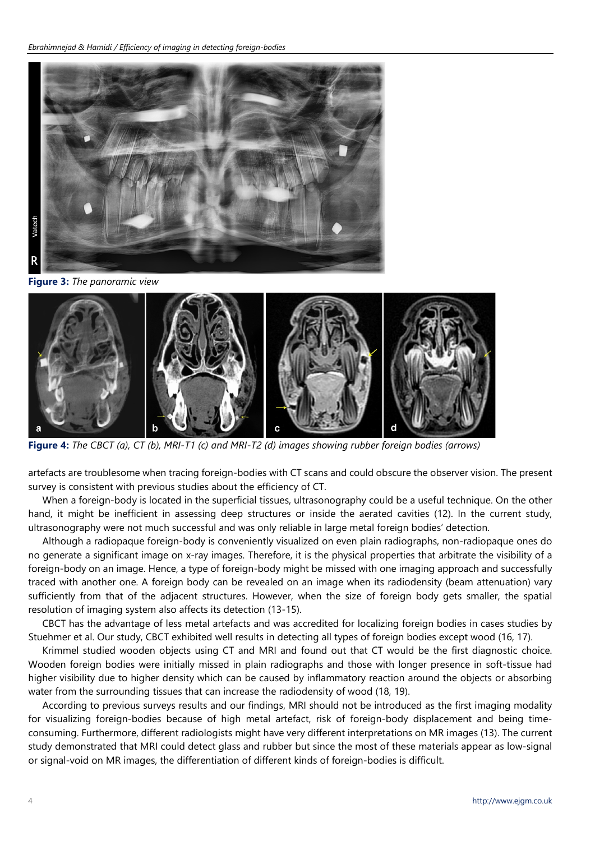

**Figure 3:** *The panoramic view*



**Figure 4:** *The CBCT (a), CT (b), MRI-T1 (c) and MRI-T2 (d) images showing rubber foreign bodies (arrows)*

artefacts are troublesome when tracing foreign-bodies with CT scans and could obscure the observer vision. The present survey is consistent with previous studies about the efficiency of CT.

When a foreign-body is located in the superficial tissues, ultrasonography could be a useful technique. On the other hand, it might be inefficient in assessing deep structures or inside the aerated cavities (12). In the current study, ultrasonography were not much successful and was only reliable in large metal foreign bodies' detection.

Although a radiopaque foreign-body is conveniently visualized on even plain radiographs, non-radiopaque ones do no generate a significant image on x-ray images. Therefore, it is the physical properties that arbitrate the visibility of a foreign-body on an image. Hence, a type of foreign-body might be missed with one imaging approach and successfully traced with another one. A foreign body can be revealed on an image when its radiodensity (beam attenuation) vary sufficiently from that of the adjacent structures. However, when the size of foreign body gets smaller, the spatial resolution of imaging system also affects its detection (13-15).

CBCT has the advantage of less metal artefacts and was accredited for localizing foreign bodies in cases studies by Stuehmer et al. Our study, CBCT exhibited well results in detecting all types of foreign bodies except wood (16, 17).

Krimmel studied wooden objects using CT and MRI and found out that CT would be the first diagnostic choice. Wooden foreign bodies were initially missed in plain radiographs and those with longer presence in soft-tissue had higher visibility due to higher density which can be caused by inflammatory reaction around the objects or absorbing water from the surrounding tissues that can increase the radiodensity of wood (18, 19).

According to previous surveys results and our findings, MRI should not be introduced as the first imaging modality for visualizing foreign-bodies because of high metal artefact, risk of foreign-body displacement and being timeconsuming. Furthermore, different radiologists might have very different interpretations on MR images (13). The current study demonstrated that MRI could detect glass and rubber but since the most of these materials appear as low-signal or signal-void on MR images, the differentiation of different kinds of foreign-bodies is difficult.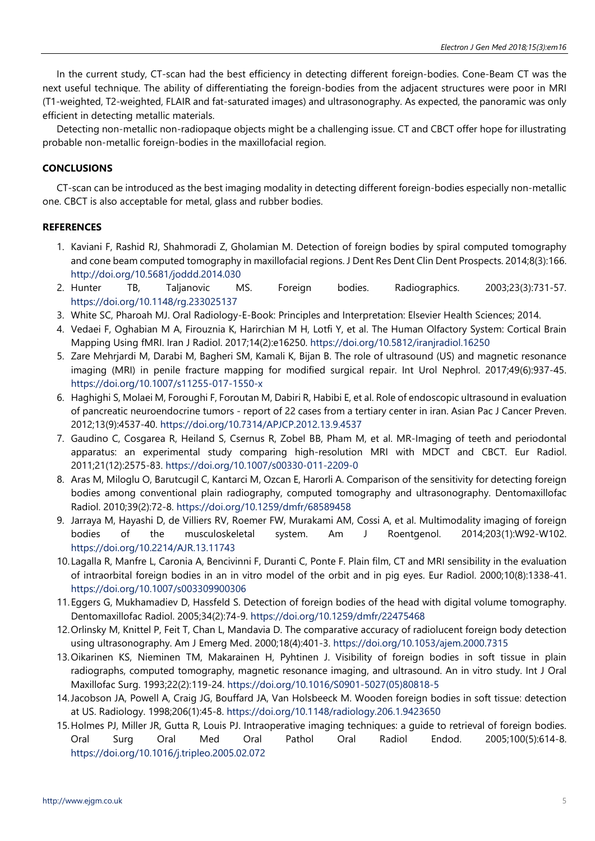In the current study, CT-scan had the best efficiency in detecting different foreign-bodies. Cone-Beam CT was the next useful technique. The ability of differentiating the foreign-bodies from the adjacent structures were poor in MRI (T1-weighted, T2-weighted, FLAIR and fat-saturated images) and ultrasonography. As expected, the panoramic was only efficient in detecting metallic materials.

Detecting non-metallic non-radiopaque objects might be a challenging issue. CT and CBCT offer hope for illustrating probable non-metallic foreign-bodies in the maxillofacial region.

# **CONCLUSIONS**

CT-scan can be introduced as the best imaging modality in detecting different foreign-bodies especially non-metallic one. CBCT is also acceptable for metal, glass and rubber bodies.

## **REFERENCES**

- 1. Kaviani F, Rashid RJ, Shahmoradi Z, Gholamian M. Detection of foreign bodies by spiral computed tomography and cone beam computed tomography in maxillofacial regions. J Dent Res Dent Clin Dent Prospects. 2014;8(3):166. <http://doi.org/10.5681/joddd.2014.030>
- 2. Hunter TB, Taljanovic MS. Foreign bodies. Radiographics. 2003;23(3):731-57. <https://doi.org/10.1148/rg.233025137>
- 3. White SC, Pharoah MJ. Oral Radiology-E-Book: Principles and Interpretation: Elsevier Health Sciences; 2014.
- 4. Vedaei F, Oghabian M A, Firouznia K, Harirchian M H, Lotfi Y, et al. The Human Olfactory System: Cortical Brain Mapping Using fMRI. Iran J Radiol. 2017;14(2):e16250. <https://doi.org/10.5812/iranjradiol.16250>
- 5. Zare Mehrjardi M, Darabi M, Bagheri SM, Kamali K, Bijan B. The role of ultrasound (US) and magnetic resonance imaging (MRI) in penile fracture mapping for modified surgical repair. Int Urol Nephrol. 2017;49(6):937-45. <https://doi.org/10.1007/s11255-017-1550-x>
- 6. Haghighi S, Molaei M, Foroughi F, Foroutan M, Dabiri R, Habibi E, et al. Role of endoscopic ultrasound in evaluation of pancreatic neuroendocrine tumors - report of 22 cases from a tertiary center in iran. Asian Pac J Cancer Preven. 2012;13(9):4537-40. <https://doi.org/10.7314/APJCP.2012.13.9.4537>
- 7. Gaudino C, Cosgarea R, Heiland S, Csernus R, Zobel BB, Pham M, et al. MR-Imaging of teeth and periodontal apparatus: an experimental study comparing high-resolution MRI with MDCT and CBCT. Eur Radiol. 2011;21(12):2575-83. <https://doi.org/10.1007/s00330-011-2209-0>
- 8. Aras M, Miloglu O, Barutcugil C, Kantarci M, Ozcan E, Harorli A. Comparison of the sensitivity for detecting foreign bodies among conventional plain radiography, computed tomography and ultrasonography. Dentomaxillofac Radiol. 2010;39(2):72-8. <https://doi.org/10.1259/dmfr/68589458>
- 9. Jarraya M, Hayashi D, de Villiers RV, Roemer FW, Murakami AM, Cossi A, et al. Multimodality imaging of foreign bodies of the musculoskeletal system. Am J Roentgenol. 2014;203(1):W92-W102. <https://doi.org/10.2214/AJR.13.11743>
- 10. Lagalla R, Manfre L, Caronia A, Bencivinni F, Duranti C, Ponte F. Plain film, CT and MRI sensibility in the evaluation of intraorbital foreign bodies in an in vitro model of the orbit and in pig eyes. Eur Radiol. 2000;10(8):1338-41. <https://doi.org/10.1007/s003309900306>
- 11.Eggers G, Mukhamadiev D, Hassfeld S. Detection of foreign bodies of the head with digital volume tomography. Dentomaxillofac Radiol. 2005;34(2):74-9. <https://doi.org/10.1259/dmfr/22475468>
- 12.Orlinsky M, Knittel P, Feit T, Chan L, Mandavia D. The comparative accuracy of radiolucent foreign body detection using ultrasonography. Am J Emerg Med. 2000;18(4):401-3. <https://doi.org/10.1053/ajem.2000.7315>
- 13.Oikarinen KS, Nieminen TM, Makarainen H, Pyhtinen J. Visibility of foreign bodies in soft tissue in plain radiographs, computed tomography, magnetic resonance imaging, and ultrasound. An in vitro study. Int J Oral Maxillofac Surg. 1993;22(2):119-24. [https://doi.org/10.1016/S0901-5027\(05\)80818-5](https://doi.org/10.1016/S0901-5027(05)80818-5)
- 14.Jacobson JA, Powell A, Craig JG, Bouffard JA, Van Holsbeeck M. Wooden foreign bodies in soft tissue: detection at US. Radiology. 1998;206(1):45-8. <https://doi.org/10.1148/radiology.206.1.9423650>
- 15.Holmes PJ, Miller JR, Gutta R, Louis PJ. Intraoperative imaging techniques: a guide to retrieval of foreign bodies. Oral Surg Oral Med Oral Pathol Oral Radiol Endod. 2005;100(5):614-8. <https://doi.org/10.1016/j.tripleo.2005.02.072>